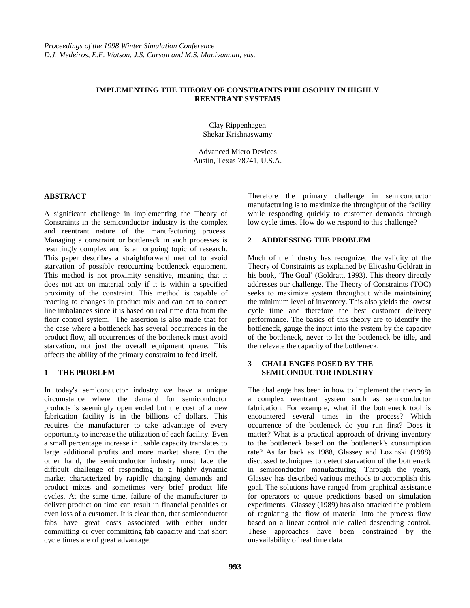## **IMPLEMENTING THE THEORY OF CONSTRAINTS PHILOSOPHY IN HIGHLY REENTRANT SYSTEMS**

Clay Rippenhagen Shekar Krishnaswamy

Advanced Micro Devices Austin, Texas 78741, U.S.A.

# **ABSTRACT**

A significant challenge in implementing the Theory of Constraints in the semiconductor industry is the complex and reentrant nature of the manufacturing process. Managing a constraint or bottleneck in such processes is resultingly complex and is an ongoing topic of research. This paper describes a straightforward method to avoid starvation of possibly reoccurring bottleneck equipment. This method is not proximity sensitive, meaning that it does not act on material only if it is within a specified proximity of the constraint. This method is capable of reacting to changes in product mix and can act to correct line imbalances since it is based on real time data from the floor control system. The assertion is also made that for the case where a bottleneck has several occurrences in the product flow, all occurrences of the bottleneck must avoid starvation, not just the overall equipment queue. This affects the ability of the primary constraint to feed itself.

#### **1 THE PROBLEM**

In today's semiconductor industry we have a unique circumstance where the demand for semiconductor products is seemingly open ended but the cost of a new fabrication facility is in the billions of dollars. This requires the manufacturer to take advantage of every opportunity to increase the utilization of each facility. Even a small percentage increase in usable capacity translates to large additional profits and more market share. On the other hand, the semiconductor industry must face the difficult challenge of responding to a highly dynamic market characterized by rapidly changing demands and product mixes and sometimes very brief product life cycles. At the same time, failure of the manufacturer to deliver product on time can result in financial penalties or even loss of a customer. It is clear then, that semiconductor fabs have great costs associated with either under committing or over committing fab capacity and that short cycle times are of great advantage.

Therefore the primary challenge in semiconductor manufacturing is to maximize the throughput of the facility while responding quickly to customer demands through low cycle times. How do we respond to this challenge?

# **2 ADDRESSING THE PROBLEM**

Much of the industry has recognized the validity of the Theory of Constraints as explained by Eliyashu Goldratt in his book, 'The Goal' (Goldratt, 1993). This theory directly addresses our challenge. The Theory of Constraints (TOC) seeks to maximize system throughput while maintaining the minimum level of inventory. This also yields the lowest cycle time and therefore the best customer delivery performance. The basics of this theory are to identify the bottleneck, gauge the input into the system by the capacity of the bottleneck, never to let the bottleneck be idle, and then elevate the capacity of the bottleneck.

# **3 CHALLENGES POSED BY THE SEMICONDUCTOR INDUSTRY**

The challenge has been in how to implement the theory in a complex reentrant system such as semiconductor fabrication. For example, what if the bottleneck tool is encountered several times in the process? Which occurrence of the bottleneck do you run first? Does it matter? What is a practical approach of driving inventory to the bottleneck based on the bottleneck's consumption rate? As far back as 1988, Glassey and Lozinski (1988) discussed techniques to detect starvation of the bottleneck in semiconductor manufacturing. Through the years, Glassey has described various methods to accomplish this goal. The solutions have ranged from graphical assistance for operators to queue predictions based on simulation experiments. Glassey (1989) has also attacked the problem of regulating the flow of material into the process flow based on a linear control rule called descending control. These approaches have been constrained by the unavailability of real time data.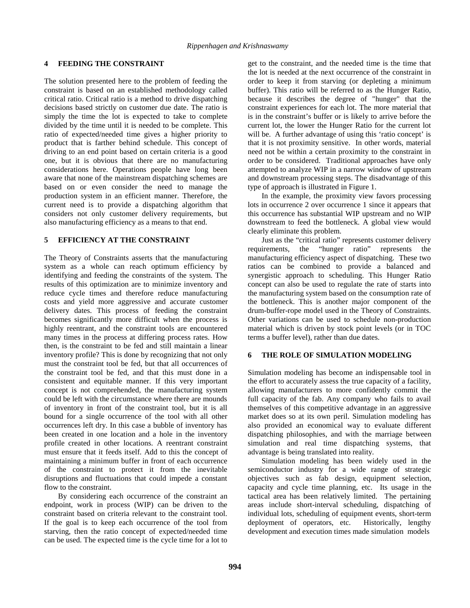# **4 FEEDING THE CONSTRAINT**

The solution presented here to the problem of feeding the constraint is based on an established methodology called critical ratio. Critical ratio is a method to drive dispatching decisions based strictly on customer due date. The ratio is simply the time the lot is expected to take to complete divided by the time until it is needed to be complete. This ratio of expected/needed time gives a higher priority to product that is farther behind schedule. This concept of driving to an end point based on certain criteria is a good one, but it is obvious that there are no manufacturing considerations here. Operations people have long been aware that none of the mainstream dispatching schemes are based on or even consider the need to manage the production system in an efficient manner. Therefore, the current need is to provide a dispatching algorithm that considers not only customer delivery requirements, but also manufacturing efficiency as a means to that end.

# **5 EFFICIENCY AT THE CONSTRAINT**

The Theory of Constraints asserts that the manufacturing system as a whole can reach optimum efficiency by identifying and feeding the constraints of the system. The results of this optimization are to minimize inventory and reduce cycle times and therefore reduce manufacturing costs and yield more aggressive and accurate customer delivery dates. This process of feeding the constraint becomes significantly more difficult when the process is highly reentrant, and the constraint tools are encountered many times in the process at differing process rates. How then, is the constraint to be fed and still maintain a linear inventory profile? This is done by recognizing that not only must the constraint tool be fed, but that all occurrences of the constraint tool be fed, and that this must done in a consistent and equitable manner. If this very important concept is not comprehended, the manufacturing system could be left with the circumstance where there are mounds of inventory in front of the constraint tool, but it is all bound for a single occurrence of the tool with all other occurrences left dry. In this case a bubble of inventory has been created in one location and a hole in the inventory profile created in other locations. A reentrant constraint must ensure that it feeds itself. Add to this the concept of maintaining a minimum buffer in front of each occurrence of the constraint to protect it from the inevitable disruptions and fluctuations that could impede a constant flow to the constraint.

By considering each occurrence of the constraint an endpoint, work in process (WIP) can be driven to the constraint based on criteria relevant to the constraint tool. If the goal is to keep each occurrence of the tool from starving, then the ratio concept of expected/needed time can be used. The expected time is the cycle time for a lot to get to the constraint, and the needed time is the time that the lot is needed at the next occurrence of the constraint in order to keep it from starving (or depleting a minimum buffer). This ratio will be referred to as the Hunger Ratio, because it describes the degree of "hunger" that the constraint experiences for each lot. The more material that is in the constraint's buffer or is likely to arrive before the current lot, the lower the Hunger Ratio for the current lot will be. A further advantage of using this 'ratio concept' is that it is not proximity sensitive. In other words, material need not be within a certain proximity to the constraint in order to be considered. Traditional approaches have only attempted to analyze WIP in a narrow window of upstream and downstream processing steps. The disadvantage of this type of approach is illustrated in Figure 1.

In the example, the proximity view favors processing lots in occurrence 2 over occurrence 1 since it appears that this occurrence has substantial WIP upstream and no WIP downstream to feed the bottleneck. A global view would clearly eliminate this problem.

Just as the "critical ratio" represents customer delivery requirements, the "hunger ratio" represents the manufacturing efficiency aspect of dispatching. These two ratios can be combined to provide a balanced and synergistic approach to scheduling. This Hunger Ratio concept can also be used to regulate the rate of starts into the manufacturing system based on the consumption rate of the bottleneck. This is another major component of the drum-buffer-rope model used in the Theory of Constraints. Other variations can be used to schedule non-production material which is driven by stock point levels (or in TOC terms a buffer level), rather than due dates.

#### **6 THE ROLE OF SIMULATION MODELING**

Simulation modeling has become an indispensable tool in the effort to accurately assess the true capacity of a facility, allowing manufacturers to more confidently commit the full capacity of the fab. Any company who fails to avail themselves of this competitive advantage in an aggressive market does so at its own peril. Simulation modeling has also provided an economical way to evaluate different dispatching philosophies, and with the marriage between simulation and real time dispatching systems, that advantage is being translated into reality.

Simulation modeling has been widely used in the semiconductor industry for a wide range of strategic objectives such as fab design, equipment selection, capacity and cycle time planning, etc. Its usage in the tactical area has been relatively limited. The pertaining areas include short-interval scheduling, dispatching of individual lots, scheduling of equipment events, short-term deployment of operators, etc. Historically, lengthy development and execution times made simulation models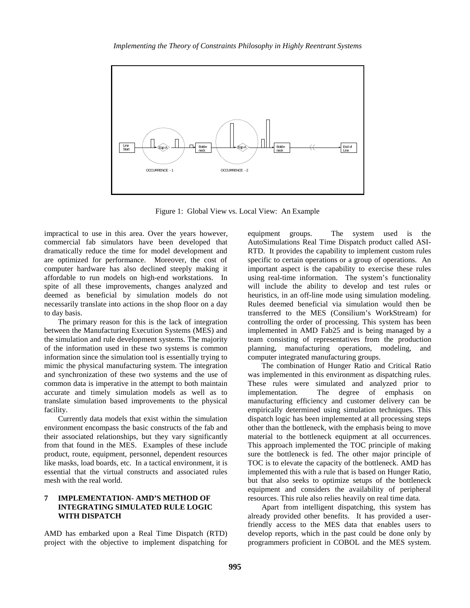

Figure 1: Global View vs. Local View: An Example

impractical to use in this area. Over the years however, commercial fab simulators have been developed that dramatically reduce the time for model development and are optimized for performance. Moreover, the cost of computer hardware has also declined steeply making it affordable to run models on high-end workstations. In spite of all these improvements, changes analyzed and deemed as beneficial by simulation models do not necessarily translate into actions in the shop floor on a day to day basis.

The primary reason for this is the lack of integration between the Manufacturing Execution Systems (MES) and the simulation and rule development systems. The majority of the information used in these two systems is common information since the simulation tool is essentially trying to mimic the physical manufacturing system. The integration and synchronization of these two systems and the use of common data is imperative in the attempt to both maintain accurate and timely simulation models as well as to translate simulation based improvements to the physical facility.

Currently data models that exist within the simulation environment encompass the basic constructs of the fab and their associated relationships, but they vary significantly from that found in the MES. Examples of these include product, route, equipment, personnel, dependent resources like masks, load boards, etc. In a tactical environment, it is essential that the virtual constructs and associated rules mesh with the real world.

# **7 IMPLEMENTATION- AMD'S METHOD OF INTEGRATING SIMULATED RULE LOGIC WITH DISPATCH**

AMD has embarked upon a Real Time Dispatch (RTD) project with the objective to implement dispatching for

equipment groups. The system used is the AutoSimulations Real Time Dispatch product called ASI-RTD. It provides the capability to implement custom rules specific to certain operations or a group of operations. An important aspect is the capability to exercise these rules using real-time information. The system's functionality will include the ability to develop and test rules or heuristics, in an off-line mode using simulation modeling. Rules deemed beneficial via simulation would then be transferred to the MES (Consilium's WorkStream) for controlling the order of processing. This system has been implemented in AMD Fab25 and is being managed by a team consisting of representatives from the production planning, manufacturing operations, modeling, and computer integrated manufacturing groups.

The combination of Hunger Ratio and Critical Ratio was implemented in this environment as dispatching rules. These rules were simulated and analyzed prior to implementation. The degree of emphasis on manufacturing efficiency and customer delivery can be empirically determined using simulation techniques. This dispatch logic has been implemented at all processing steps other than the bottleneck, with the emphasis being to move material to the bottleneck equipment at all occurrences. This approach implemented the TOC principle of making sure the bottleneck is fed. The other major principle of TOC is to elevate the capacity of the bottleneck. AMD has implemented this with a rule that is based on Hunger Ratio, but that also seeks to optimize setups of the bottleneck equipment and considers the availability of peripheral resources. This rule also relies heavily on real time data.

 Apart from intelligent dispatching, this system has already provided other benefits. It has provided a userfriendly access to the MES data that enables users to develop reports, which in the past could be done only by programmers proficient in COBOL and the MES system.